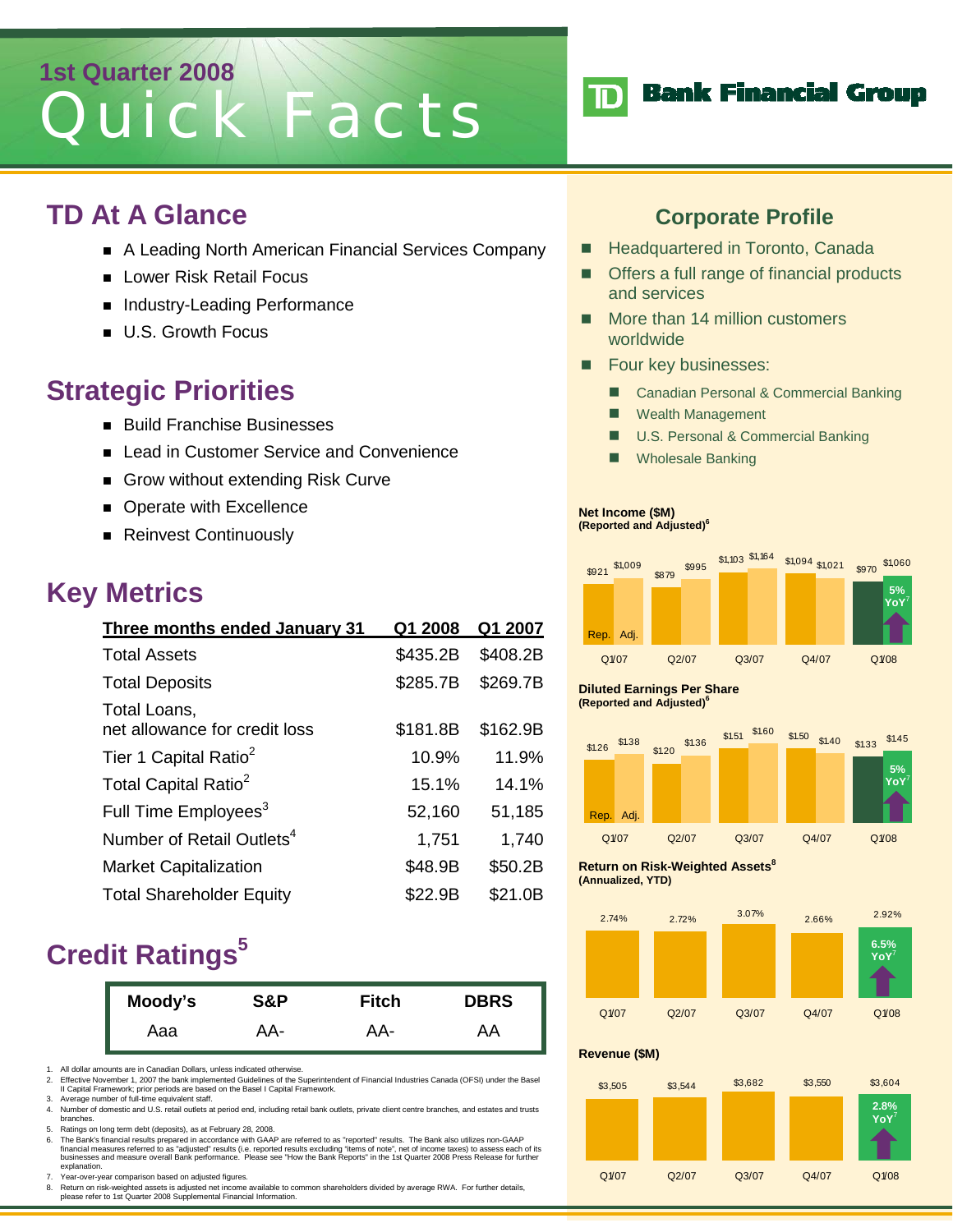# **1st Quarter 2008**  Quick Facts

### **TD At A Glance**

- A Leading North American Financial Services Company
- **Lower Risk Retail Focus**
- Industry-Leading Performance
- **U.S. Growth Focus**

### **Strategic Priorities**

- **Build Franchise Businesses**
- Lead in Customer Service and Convenience
- Grow without extending Risk Curve
- **Derate with Excellence**
- Reinvest Continuously

### **Key Metrics**

| Three months ended January 31                 | Q1 2008  | Q1 2007  |
|-----------------------------------------------|----------|----------|
| <b>Total Assets</b>                           | \$435.2B | \$408.2B |
| <b>Total Deposits</b>                         | \$285.7B | \$269.7B |
| Total Loans,<br>net allowance for credit loss | \$181.8B | \$162.9B |
| Tier 1 Capital Ratio <sup>2</sup>             | 10.9%    | 11.9%    |
| Total Capital Ratio <sup>2</sup>              | 15.1%    | 14.1%    |
| Full Time Employees <sup>3</sup>              | 52,160   | 51,185   |
| Number of Retail Outlets <sup>4</sup>         | 1,751    | 1,740    |
| <b>Market Capitalization</b>                  | \$48.9B  | \$50.2B  |
| <b>Total Shareholder Equity</b>               | \$22.9B  | \$21.0B  |

### **Credit Ratings**<sup>5</sup>

| Moody's | S&P | Fitch | <b>DBRS</b> |
|---------|-----|-------|-------------|
| Aaa     | AA- | AA-   | AA          |

1. All dollar amounts are in Canadian Dollars, unless indicated otherwise.<br>2. Effective November 1, 2007 the bank implemented Guidelines of the S

2. Effective November 1, 2007 the bank implemented Guidelines of the Superintendent of Financial Industries Canada (OFSI) under the Basel II Capital Framework; prior periods are based on the Basel I Capital Framework. 3. Average number of full-time equivalent staff.

4. Number of domestic and U.S. retail outlets at period end, including retail bank outlets, private client centre branches, and estates and trusts branches.

5. Ratings on long term debt (deposits), as at February 28, 2008.

6. The Bank's financial results prepared in accordance with GAAP are referred to as "reported" results. The Bank also utilizes non-GAAP financial measures referred to as "adjusted" results (i.e. reported results excluding "items of note", net of income taxes) to assess each of its<br>businesses and measure overall Bank performance. Please see "How the Bank Re

7. Year-over-year comparison based on adjusted figures.

8. Return on risk-weighted assets is adjusted net income available to common shareholders divided by average RWA. For further details, please refer to 1st Quarter 2008 Supplemental Financial Information.



**Bank Financial Group** 

- Headquartered in Toronto, Canada
- Offers a full range of financial products and services
- More than 14 million customers worldwide
- **Four key businesses:** 
	- Canadian Personal & Commercial Banking
	- Wealth Management
	- **U.S. Personal & Commercial Banking**
	- **Nanking** Wholesale Banking

#### **Net Income (\$M)**

 $\mathbf{D}$ 

**(Reported and Adjusted)6**



#### **Diluted Earnings Per Share (Reported and Adjusted)6**



**Return on Risk-Weighted Assets**<sup>8</sup> **(Annualized, YTD)** 



#### **Revenue (\$M)**